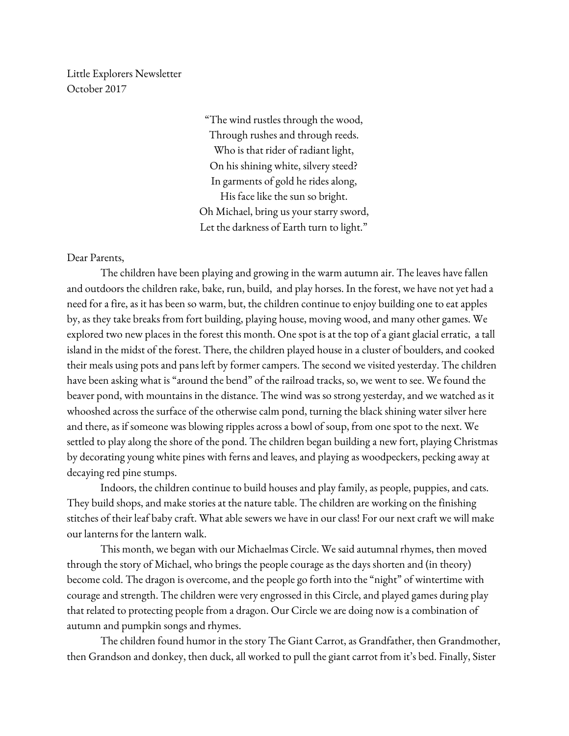Little Explorers Newsletter October 2017

> "The wind rustles through the wood, Through rushes and through reeds. Who is that rider of radiant light, On his shining white, silvery steed? In garments of gold he rides along, His face like the sun so bright. Oh Michael, bring us your starry sword, Let the darkness of Earth turn to light."

Dear Parents,

The children have been playing and growing in the warm autumn air. The leaves have fallen and outdoors the children rake, bake, run, build, and play horses. In the forest, we have not yet had a need for a fire, as it has been so warm, but, the children continue to enjoy building one to eat apples by, as they take breaks from fort building, playing house, moving wood, and many other games. We explored two new places in the forest this month. One spot is at the top of a giant glacial erratic, a tall island in the midst of the forest. There, the children played house in a cluster of boulders, and cooked their meals using pots and pans left by former campers. The second we visited yesterday. The children have been asking what is "around the bend" of the railroad tracks, so, we went to see. We found the beaver pond, with mountains in the distance. The wind was so strong yesterday, and we watched as it whooshed across the surface of the otherwise calm pond, turning the black shining water silver here and there, as if someone was blowing ripples across a bowl of soup, from one spot to the next. We settled to play along the shore of the pond. The children began building a new fort, playing Christmas by decorating young white pines with ferns and leaves, and playing as woodpeckers, pecking away at decaying red pine stumps.

Indoors, the children continue to build houses and play family, as people, puppies, and cats. They build shops, and make stories at the nature table. The children are working on the finishing stitches of their leaf baby craft. What able sewers we have in our class! For our next craft we will make our lanterns for the lantern walk.

This month, we began with our Michaelmas Circle. We said autumnal rhymes, then moved through the story of Michael, who brings the people courage as the days shorten and (in theory) become cold. The dragon is overcome, and the people go forth into the "night" of wintertime with courage and strength. The children were very engrossed in this Circle, and played games during play that related to protecting people from a dragon. Our Circle we are doing now is a combination of autumn and pumpkin songs and rhymes.

The children found humor in the story The Giant Carrot, as Grandfather, then Grandmother, then Grandson and donkey, then duck, all worked to pull the giant carrot from it's bed. Finally, Sister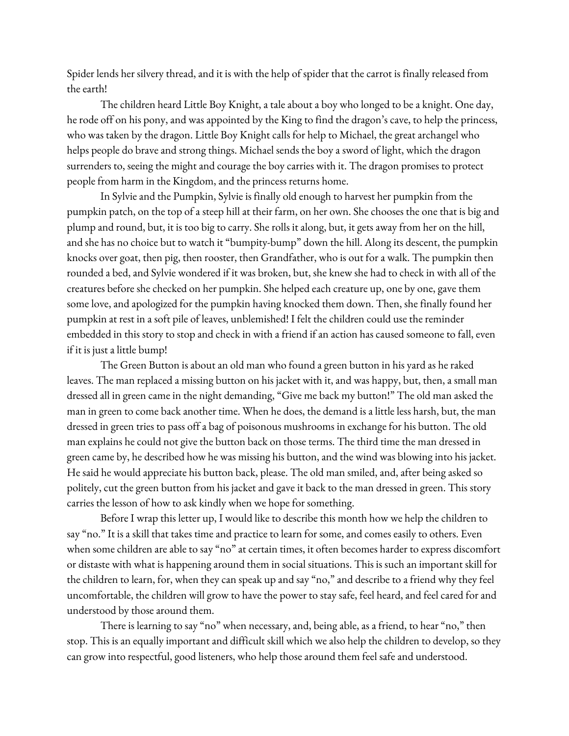Spider lends her silvery thread, and it is with the help of spider that the carrot is finally released from the earth!

The children heard Little Boy Knight, a tale about a boy who longed to be a knight. One day, he rode off on his pony, and was appointed by the King to find the dragon's cave, to help the princess, who was taken by the dragon. Little Boy Knight calls for help to Michael, the great archangel who helps people do brave and strong things. Michael sends the boy a sword of light, which the dragon surrenders to, seeing the might and courage the boy carries with it. The dragon promises to protect people from harm in the Kingdom, and the princess returns home.

In Sylvie and the Pumpkin, Sylvie is finally old enough to harvest her pumpkin from the pumpkin patch, on the top of a steep hill at their farm, on her own. She chooses the one that is big and plump and round, but, it is too big to carry. She rolls it along, but, it gets away from her on the hill, and she has no choice but to watch it "bumpity-bump" down the hill. Along its descent, the pumpkin knocks over goat, then pig, then rooster, then Grandfather, who is out for a walk. The pumpkin then rounded a bed, and Sylvie wondered if it was broken, but, she knew she had to check in with all of the creatures before she checked on her pumpkin. She helped each creature up, one by one, gave them some love, and apologized for the pumpkin having knocked them down. Then, she finally found her pumpkin at rest in a soft pile of leaves, unblemished! I felt the children could use the reminder embedded in this story to stop and check in with a friend if an action has caused someone to fall, even if it is just a little bump!

The Green Button is about an old man who found a green button in his yard as he raked leaves. The man replaced a missing button on his jacket with it, and was happy, but, then, a small man dressed all in green came in the night demanding, "Give me back my button!" The old man asked the man in green to come back another time. When he does, the demand is a little less harsh, but, the man dressed in green tries to pass off a bag of poisonous mushrooms in exchange for his button. The old man explains he could not give the button back on those terms. The third time the man dressed in green came by, he described how he was missing his button, and the wind was blowing into his jacket. He said he would appreciate his button back, please. The old man smiled, and, after being asked so politely, cut the green button from his jacket and gave it back to the man dressed in green. This story carries the lesson of how to ask kindly when we hope for something.

Before I wrap this letter up, I would like to describe this month how we help the children to say "no." It is a skill that takes time and practice to learn for some, and comes easily to others. Even when some children are able to say "no" at certain times, it often becomes harder to express discomfort or distaste with what is happening around them in social situations. This is such an important skill for the children to learn, for, when they can speak up and say "no," and describe to a friend why they feel uncomfortable, the children will grow to have the power to stay safe, feel heard, and feel cared for and understood by those around them.

There is learning to say "no" when necessary, and, being able, as a friend, to hear "no," then stop. This is an equally important and difficult skill which we also help the children to develop, so they can grow into respectful, good listeners, who help those around them feel safe and understood.